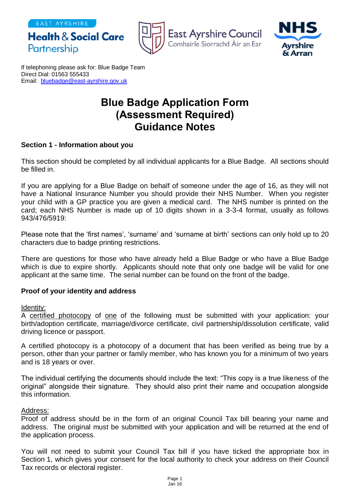EAST AYRSHIRE

Partnership



**East Ayrshire Council** Comhairle Siorrachd Àir an Ear



If telephoning please ask for: Blue Badge Team Direct Dial: 01563 555433 Email: [bluebadge@east-ayrshire.gov.uk](mailto:bluebadge@east-ayrshire.gov.uk)

**Health & Social Care** 

# **Blue Badge Application Form (Assessment Required) Guidance Notes**

### **Section 1 - Information about you**

This section should be completed by all individual applicants for a Blue Badge. All sections should be filled in.

If you are applying for a Blue Badge on behalf of someone under the age of 16, as they will not have a National Insurance Number you should provide their NHS Number. When you register your child with a GP practice you are given a medical card. The NHS number is printed on the card; each NHS Number is made up of 10 digits shown in a 3-3-4 format, usually as follows 943/476/5919:

Please note that the 'first names', 'surname' and 'surname at birth' sections can only hold up to 20 characters due to badge printing restrictions.

There are questions for those who have already held a Blue Badge or who have a Blue Badge which is due to expire shortly. Applicants should note that only one badge will be valid for one applicant at the same time. The serial number can be found on the front of the badge.

### **Proof of your identity and address**

#### Identity:

A certified photocopy of one of the following must be submitted with your application: your birth/adoption certificate, marriage/divorce certificate, civil partnership/dissolution certificate, valid driving licence or passport.

A certified photocopy is a photocopy of a document that has been verified as being true by a person, other than your partner or family member, who has known you for a minimum of two years and is 18 years or over.

The individual certifying the documents should include the text: "This copy is a true likeness of the original" alongside their signature. They should also print their name and occupation alongside this information.

### Address:

Proof of address should be in the form of an original Council Tax bill bearing your name and address. The original must be submitted with your application and will be returned at the end of the application process.

You will not need to submit your Council Tax bill if you have ticked the appropriate box in Section 1, which gives your consent for the local authority to check your address on their Council Tax records or electoral register.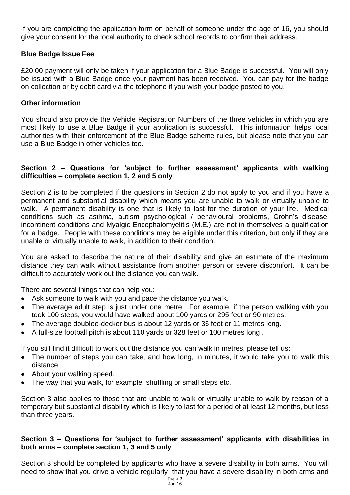If you are completing the application form on behalf of someone under the age of 16, you should give your consent for the local authority to check school records to confirm their address.

## **Blue Badge Issue Fee**

£20.00 payment will only be taken if your application for a Blue Badge is successful. You will only be issued with a Blue Badge once your payment has been received. You can pay for the badge on collection or by debit card via the telephone if you wish your badge posted to you.

### **Other information**

You should also provide the Vehicle Registration Numbers of the three vehicles in which you are most likely to use a Blue Badge if your application is successful. This information helps local authorities with their enforcement of the Blue Badge scheme rules, but please note that you can use a Blue Badge in other vehicles too.

## **Section 2 – Questions for 'subject to further assessment' applicants with walking difficulties – complete section 1, 2 and 5 only**

Section 2 is to be completed if the questions in Section 2 do not apply to you and if you have a permanent and substantial disability which means you are unable to walk or virtually unable to walk. A permanent disability is one that is likely to last for the duration of your life. Medical conditions such as asthma, autism psychological / behavioural problems, Crohn's disease, incontinent conditions and Myalgic Encephalomyelitis (M.E.) are not in themselves a qualification for a badge. People with these conditions may be eligible under this criterion, but only if they are unable or virtually unable to walk, in addition to their condition.

You are asked to describe the nature of their disability and give an estimate of the maximum distance they can walk without assistance from another person or severe discomfort. It can be difficult to accurately work out the distance you can walk.

There are several things that can help you:

- Ask someone to walk with you and pace the distance you walk.
- The average adult step is just under one metre. For example, if the person walking with you took 100 steps, you would have walked about 100 yards or 295 feet or 90 metres.
- The average doublee-decker bus is about 12 yards or 36 feet or 11 metres long.
- A full-size football pitch is about 110 yards or 328 feet or 100 metres long .

If you still find it difficult to work out the distance you can walk in metres, please tell us:

- The number of steps you can take, and how long, in minutes, it would take you to walk this distance.
- About your walking speed.
- The way that you walk, for example, shuffling or small steps etc.

Section 3 also applies to those that are unable to walk or virtually unable to walk by reason of a temporary but substantial disability which is likely to last for a period of at least 12 months, but less than three years.

### **Section 3 – Questions for 'subject to further assessment' applicants with disabilities in both arms – complete section 1, 3 and 5 only**

Section 3 should be completed by applicants who have a severe disability in both arms. You will need to show that you drive a vehicle regularly, that you have a severe disability in both arms and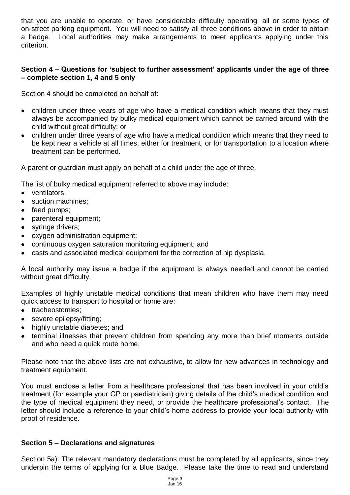that you are unable to operate, or have considerable difficulty operating, all or some types of on-street parking equipment. You will need to satisfy all three conditions above in order to obtain a badge. Local authorities may make arrangements to meet applicants applying under this criterion.

# **Section 4 – Questions for 'subject to further assessment' applicants under the age of three – complete section 1, 4 and 5 only**

Section 4 should be completed on behalf of:

- children under three years of age who have a medical condition which means that they must always be accompanied by bulky medical equipment which cannot be carried around with the child without great difficulty; or
- children under three years of age who have a medical condition which means that they need to be kept near a vehicle at all times, either for treatment, or for transportation to a location where treatment can be performed.

A parent or guardian must apply on behalf of a child under the age of three.

The list of bulky medical equipment referred to above may include:

- ventilators;
- suction machines;
- feed pumps;
- parenteral equipment;
- syringe drivers;
- oxygen administration equipment;
- continuous oxygen saturation monitoring equipment; and
- casts and associated medical equipment for the correction of hip dysplasia.

A local authority may issue a badge if the equipment is always needed and cannot be carried without great difficulty.

Examples of highly unstable medical conditions that mean children who have them may need quick access to transport to hospital or home are:

- tracheostomies;
- severe epilepsy/fitting;
- highly unstable diabetes; and
- terminal illnesses that prevent children from spending any more than brief moments outside and who need a quick route home.

Please note that the above lists are not exhaustive, to allow for new advances in technology and treatment equipment.

You must enclose a letter from a healthcare professional that has been involved in your child's treatment (for example your GP or paediatrician) giving details of the child's medical condition and the type of medical equipment they need, or provide the healthcare professional's contact. The letter should include a reference to your child's home address to provide your local authority with proof of residence.

### **Section 5 – Declarations and signatures**

Section 5a): The relevant mandatory declarations must be completed by all applicants, since they underpin the terms of applying for a Blue Badge. Please take the time to read and understand